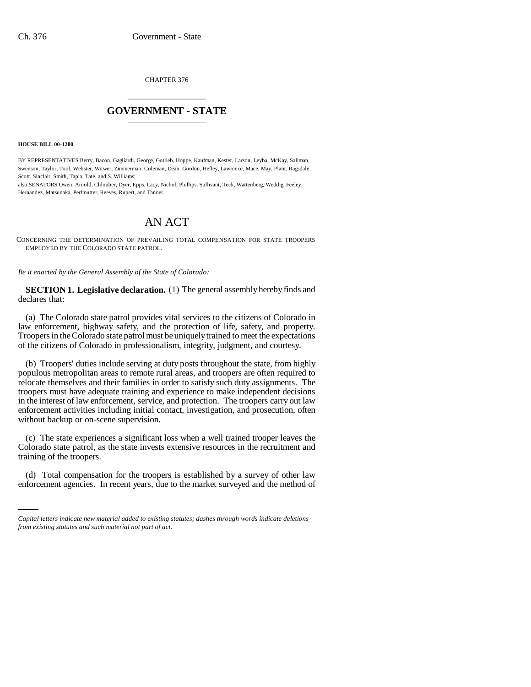CHAPTER 376 \_\_\_\_\_\_\_\_\_\_\_\_\_\_\_

## **GOVERNMENT - STATE** \_\_\_\_\_\_\_\_\_\_\_\_\_\_\_

**HOUSE BILL 00-1280** 

BY REPRESENTATIVES Berry, Bacon, Gagliardi, George, Gotlieb, Hoppe, Kaufman, Kester, Larson, Leyba, McKay, Saliman, Swenson, Taylor, Tool, Webster, Witwer, Zimmerman, Coleman, Dean, Gordon, Hefley, Lawrence, Mace, May, Plant, Ragsdale, Scott, Sinclair, Smith, Tapia, Tate, and S. Williams;

also SENATORS Owen, Arnold, Chlouber, Dyer, Epps, Lacy, Nichol, Phillips, Sullivant, Teck, Wattenberg, Weddig, Feeley, Hernandez, Matsunaka, Perlmutter, Reeves, Rupert, and Tanner.

## AN ACT

CONCERNING THE DETERMINATION OF PREVAILING TOTAL COMPENSATION FOR STATE TROOPERS EMPLOYED BY THE COLORADO STATE PATROL.

*Be it enacted by the General Assembly of the State of Colorado:*

**SECTION 1. Legislative declaration.** (1) The general assembly hereby finds and declares that:

(a) The Colorado state patrol provides vital services to the citizens of Colorado in law enforcement, highway safety, and the protection of life, safety, and property. Troopers in the Colorado state patrol must be uniquely trained to meet the expectations of the citizens of Colorado in professionalism, integrity, judgment, and courtesy.

(b) Troopers' duties include serving at duty posts throughout the state, from highly populous metropolitan areas to remote rural areas, and troopers are often required to relocate themselves and their families in order to satisfy such duty assignments. The troopers must have adequate training and experience to make independent decisions in the interest of law enforcement, service, and protection. The troopers carry out law enforcement activities including initial contact, investigation, and prosecution, often without backup or on-scene supervision.

(c) The state experiences a significant loss when a well trained trooper leaves the Colorado state patrol, as the state invests extensive resources in the recruitment and training of the troopers.

(d) Total compensation for the troopers is established by a survey of other law enforcement agencies. In recent years, due to the market surveyed and the method of

*Capital letters indicate new material added to existing statutes; dashes through words indicate deletions from existing statutes and such material not part of act.*